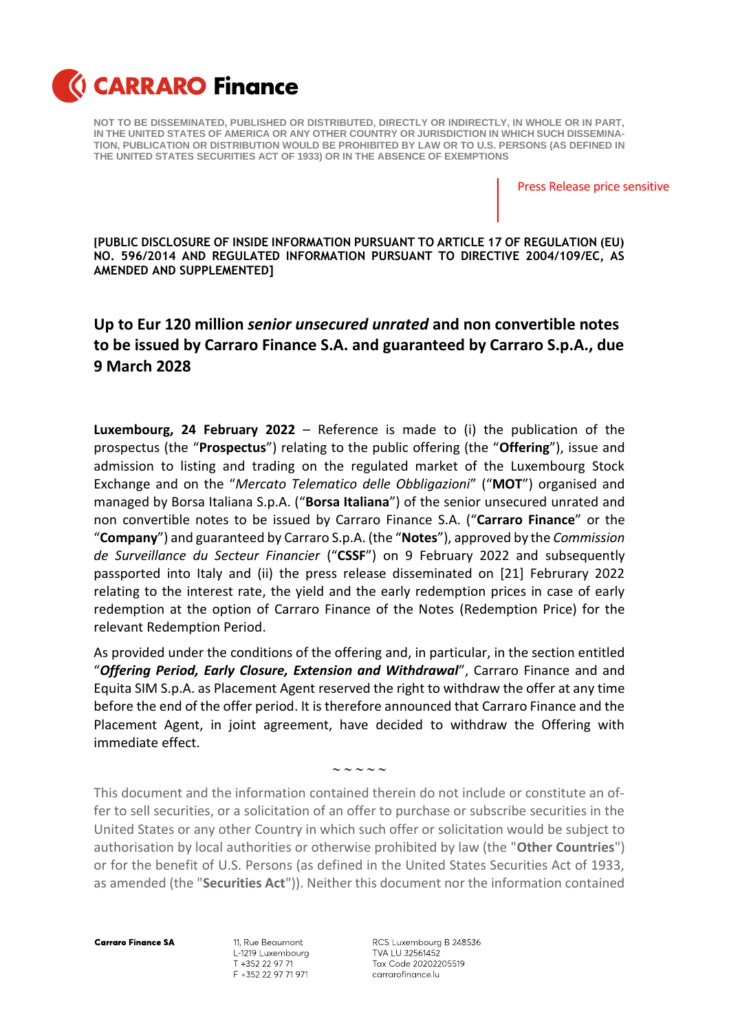

**NOT TO BE DISSEMINATED, PUBLISHED OR DISTRIBUTED, DIRECTLY OR INDIRECTLY, IN WHOLE OR IN PART, IN THE UNITED STATES OF AMERICA OR ANY OTHER COUNTRY OR JURISDICTION IN WHICH SUCH DISSEMINA-TION, PUBLICATION OR DISTRIBUTION WOULD BE PROHIBITED BY LAW OR TO U.S. PERSONS (AS DEFINED IN THE UNITED STATES SECURITIES ACT OF 1933) OR IN THE ABSENCE OF EXEMPTIONS**

Press Release price sensitive

**[PUBLIC DISCLOSURE OF INSIDE INFORMATION PURSUANT TO ARTICLE 17 OF REGULATION (EU) NO. 596/2014 AND REGULATED INFORMATION PURSUANT TO DIRECTIVE 2004/109/EC, AS AMENDED AND SUPPLEMENTED]**

## **Up to Eur 120 million** *senior unsecured unrated* **and non convertible notes to be issued by Carraro Finance S.A. and guaranteed by Carraro S.p.A., due 9 March 2028**

**Luxembourg, 24 February 2022** – Reference is made to (i) the publication of the prospectus (the "**Prospectus**") relating to the public offering (the "**Offering**"), issue and admission to listing and trading on the regulated market of the Luxembourg Stock Exchange and on the "*Mercato Telematico delle Obbligazioni*" ("**MOT**") organised and managed by Borsa Italiana S.p.A. ("**Borsa Italiana**") of the senior unsecured unrated and non convertible notes to be issued by Carraro Finance S.A. ("**Carraro Finance**" or the "**Company**") and guaranteed by Carraro S.p.A. (the "**Notes**"), approved by the *Commission de Surveillance du Secteur Financier* ("**CSSF**") on 9 February 2022 and subsequently passported into Italy and (ii) the press release disseminated on [21] Februrary 2022 relating to the interest rate, the yield and the early redemption prices in case of early redemption at the option of Carraro Finance of the Notes (Redemption Price) for the relevant Redemption Period.

As provided under the conditions of the offering and, in particular, in the section entitled "*Offering Period, Early Closure, Extension and Withdrawal*", Carraro Finance and and Equita SIM S.p.A. as Placement Agent reserved the right to withdraw the offer at any time before the end of the offer period. It is therefore announced that Carraro Finance and the Placement Agent, in joint agreement, have decided to withdraw the Offering with immediate effect.

 $\sim$   $\sim$   $\sim$   $\sim$ 

This document and the information contained therein do not include or constitute an offer to sell securities, or a solicitation of an offer to purchase or subscribe securities in the United States or any other Country in which such offer or solicitation would be subject to authorisation by local authorities or otherwise prohibited by law (the "**Other Countries**") or for the benefit of U.S. Persons (as defined in the United States Securities Act of 1933, as amended (the "**Securities Act**")). Neither this document nor the information contained

**Carraro Finance SA** 

11, Rue Beaumont L-1219 Luxembourg T +352 22 97 71 F +352 22 97 71 971

RCS Luxembourg B 248536 TVA LU 32561452 Tax Code 20202205519 carrarofinance.lu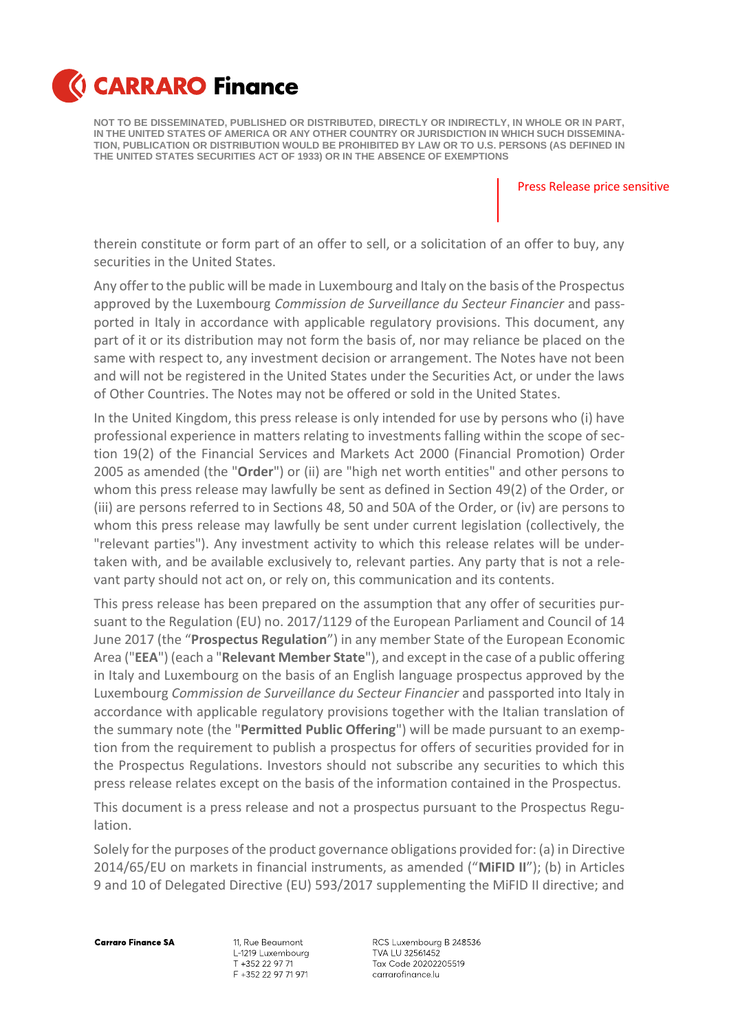

**NOT TO BE DISSEMINATED, PUBLISHED OR DISTRIBUTED, DIRECTLY OR INDIRECTLY, IN WHOLE OR IN PART, IN THE UNITED STATES OF AMERICA OR ANY OTHER COUNTRY OR JURISDICTION IN WHICH SUCH DISSEMINA-TION, PUBLICATION OR DISTRIBUTION WOULD BE PROHIBITED BY LAW OR TO U.S. PERSONS (AS DEFINED IN THE UNITED STATES SECURITIES ACT OF 1933) OR IN THE ABSENCE OF EXEMPTIONS**

Press Release price sensitive

therein constitute or form part of an offer to sell, or a solicitation of an offer to buy, any securities in the United States.

Any offer to the public will be made in Luxembourg and Italy on the basis of the Prospectus approved by the Luxembourg *Commission de Surveillance du Secteur Financier* and passported in Italy in accordance with applicable regulatory provisions. This document, any part of it or its distribution may not form the basis of, nor may reliance be placed on the same with respect to, any investment decision or arrangement. The Notes have not been and will not be registered in the United States under the Securities Act, or under the laws of Other Countries. The Notes may not be offered or sold in the United States.

In the United Kingdom, this press release is only intended for use by persons who (i) have professional experience in matters relating to investments falling within the scope of section 19(2) of the Financial Services and Markets Act 2000 (Financial Promotion) Order 2005 as amended (the "**Order**") or (ii) are "high net worth entities" and other persons to whom this press release may lawfully be sent as defined in Section 49(2) of the Order, or (iii) are persons referred to in Sections 48, 50 and 50A of the Order, or (iv) are persons to whom this press release may lawfully be sent under current legislation (collectively, the "relevant parties"). Any investment activity to which this release relates will be undertaken with, and be available exclusively to, relevant parties. Any party that is not a relevant party should not act on, or rely on, this communication and its contents.

This press release has been prepared on the assumption that any offer of securities pursuant to the Regulation (EU) no. 2017/1129 of the European Parliament and Council of 14 June 2017 (the "**Prospectus Regulation**") in any member State of the European Economic Area ("**EEA**") (each a "**Relevant Member State**"), and except in the case of a public offering in Italy and Luxembourg on the basis of an English language prospectus approved by the Luxembourg *Commission de Surveillance du Secteur Financier* and passported into Italy in accordance with applicable regulatory provisions together with the Italian translation of the summary note (the "**Permitted Public Offering**") will be made pursuant to an exemption from the requirement to publish a prospectus for offers of securities provided for in the Prospectus Regulations. Investors should not subscribe any securities to which this press release relates except on the basis of the information contained in the Prospectus.

This document is a press release and not a prospectus pursuant to the Prospectus Regulation.

Solely for the purposes of the product governance obligations provided for: (a) in Directive 2014/65/EU on markets in financial instruments, as amended ("**MiFID II**"); (b) in Articles 9 and 10 of Delegated Directive (EU) 593/2017 supplementing the MiFID II directive; and

**Carraro Finance SA** 

11, Rue Beaumont L-1219 Luxembourg T +352 22 97 71 F +352 22 97 71 971

RCS Luxembourg B 248536 TVA LU 32561452 Tax Code 20202205519 carrarofinance.lu